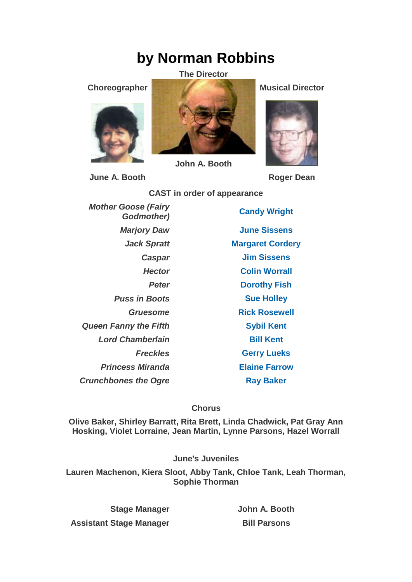## **by Norman Robbins**

## **The Director**





**John A. Booth**

**June A. Booth Roger Dean** 

**CAST in order of appearance**

*Mother Goose (Fairy*  **Puss in Boots [Sue Holley](https://www.carelinetheatre.com/pastprods/pussinboots.php#Sue) Queen Fanny the Fifth [Sybil Kent](https://www.carelinetheatre.com/pastprods/pussinboots.php#Sybil)** *Lord Chamberlain* **[Bill Kent](https://www.carelinetheatre.com/pastprods/pussinboots.php#Bill)** *Princess Miranda* **[Elaine Farrow](https://www.carelinetheatre.com/pastprods/pussinboots.php#Elaine) Crunchbones the Ogre [Ray Baker](https://www.carelinetheatre.com/pastprods/pussinboots.php#Ray)** 

*Godmother)* **[Candy Wright](https://www.carelinetheatre.com/pastprods/pussinboots.php#Candy)** *Marjory Daw* **[June Sissens](https://www.carelinetheatre.com/pastprods/pussinboots.php#June)** *Jack Spratt* **[Margaret Cordery](https://www.carelinetheatre.com/pastprods/pussinboots.php#Margaret)** *Caspar* **[Jim Sissens](https://www.carelinetheatre.com/pastprods/pussinboots.php#Jim)** *Hector* **[Colin Worrall](https://www.carelinetheatre.com/pastprods/pussinboots.php#Colin)** *Peter* **[Dorothy Fish](https://www.carelinetheatre.com/pastprods/pussinboots.php#Dorothy)** *Gruesome* **[Rick Rosewell](https://www.carelinetheatre.com/pastprods/pussinboots.php#Rick)** *Freckles* **[Gerry Lueks](https://www.carelinetheatre.com/pastprods/pussinboots.php#Gerry)**

**Chorus**

**Olive Baker, Shirley Barratt, Rita Brett, Linda Chadwick, Pat Gray Ann Hosking, Violet Lorraine, Jean Martin, Lynne Parsons, Hazel Worrall**

**June's Juveniles**

**Lauren Machenon, Kiera Sloot, Abby Tank, Chloe Tank, Leah Thorman, Sophie Thorman**

**Stage Manager John A. Booth Assistant Stage Manager Bill Parsons** 

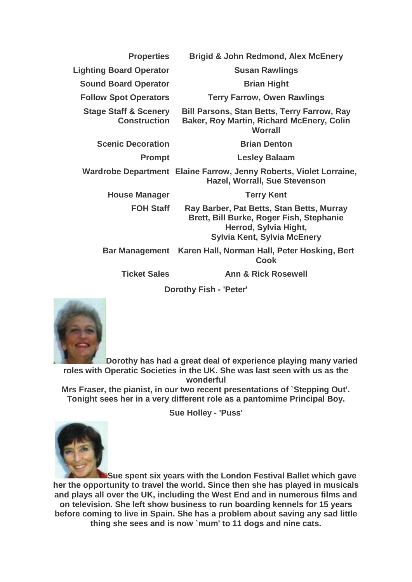| <b>Properties</b>                                       | <b>Brigid &amp; John Redmond, Alex McEnery</b>                                                                                                       |
|---------------------------------------------------------|------------------------------------------------------------------------------------------------------------------------------------------------------|
| <b>Lighting Board Operator</b>                          | <b>Susan Rawlings</b>                                                                                                                                |
| <b>Sound Board Operator</b>                             | <b>Brian Hight</b>                                                                                                                                   |
| <b>Follow Spot Operators</b>                            | <b>Terry Farrow, Owen Rawlings</b>                                                                                                                   |
| <b>Stage Staff &amp; Scenery</b><br><b>Construction</b> | <b>Bill Parsons, Stan Betts, Terry Farrow, Ray</b><br><b>Baker, Roy Martin, Richard McEnery, Colin</b><br>Worrall                                    |
| <b>Scenic Decoration</b>                                | <b>Brian Denton</b>                                                                                                                                  |
| <b>Prompt</b>                                           | <b>Lesley Balaam</b>                                                                                                                                 |
|                                                         | Wardrobe Department Elaine Farrow, Jenny Roberts, Violet Lorraine,<br><b>Hazel, Worrall, Sue Stevenson</b>                                           |
| <b>House Manager</b>                                    | <b>Terry Kent</b>                                                                                                                                    |
| <b>FOH Staff</b>                                        | Ray Barber, Pat Betts, Stan Betts, Murray<br>Brett, Bill Burke, Roger Fish, Stephanie<br>Herrod, Sylvia Hight,<br><b>Sylvia Kent, Sylvia McEnery</b> |
|                                                         | Bar Management Karen Hall, Norman Hall, Peter Hosking, Bert<br><b>Cook</b>                                                                           |
| <b>Ticket Sales</b>                                     | <b>Ann &amp; Rick Rosewell</b>                                                                                                                       |
|                                                         |                                                                                                                                                      |

**Dorothy Fish - 'Peter'**



**Dorothy has had a great deal of experience playing many varied roles with Operatic Societies in the UK. She was last seen with us as the wonderful**

**Mrs Fraser, the pianist, in our two recent presentations of `Stepping Out'. Tonight sees her in a very different role as a pantomime Principal Boy.**

**Sue Holley - 'Puss'**



**Sue spent six years with the London Festival Ballet which gave her the opportunity to travel the world. Since then she has played in musicals and plays all over the UK, including the West End and in numerous films and on television. She left show business to run boarding kennels for 15 years before coming to live in Spain. She has a problem about saving any sad little thing she sees and is now `mum' to 11 dogs and nine cats.**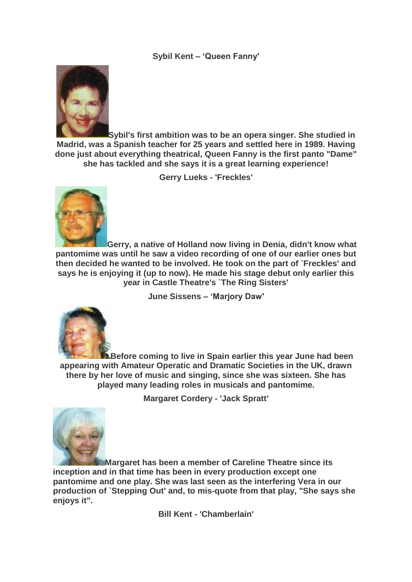## **Sybil Kent – 'Queen Fanny'**



**Sybil's first ambition was to be an opera singer. She studied in Madrid, was a Spanish teacher for 25 years and settled here in 1989. Having done just about everything theatrical, Queen Fanny is the first panto "Dame" she has tackled and she says it is a great learning experience!**

**Gerry Lueks - 'Freckles'**



**Gerry, a native of Holland now living in Denia, didn't know what pantomime was until he saw a video recording of one of our earlier ones but then decided he wanted to be involved. He took on the part of `Freckles' and says he is enjoying it (up to now). He made his stage debut only earlier this year in Castle Theatre's `The Ring Sisters'**

**June Sissens – 'Marjory Daw'**



**Before coming to live in Spain earlier this year June had been appearing with Amateur Operatic and Dramatic Societies in the UK, drawn there by her love of music and singing, since she was sixteen. She has played many leading roles in musicals and pantomime.**

**Margaret Cordery - 'Jack Spratt'**



**Margaret has been a member of Careline Theatre since its inception and in that time has been in every production except one pantomime and one play. She was last seen as the interfering Vera in our production of `Stepping Out' and, to mis-quote from that play, "She says she enjoys it".**

**Bill Kent - 'Chamberlain'**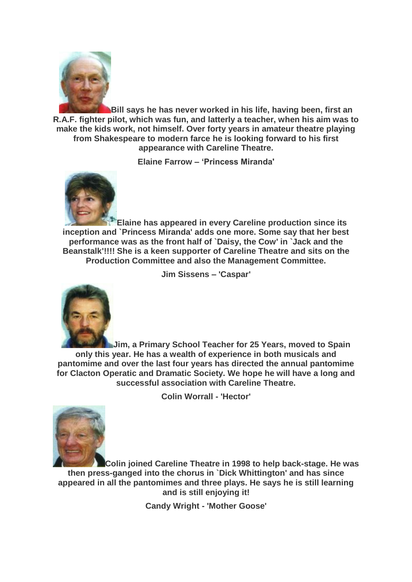

**Bill says he has never worked in his life, having been, first an R.A.F. fighter pilot, which was fun, and latterly a teacher, when his aim was to make the kids work, not himself. Over forty years in amateur theatre playing from Shakespeare to modern farce he is looking forward to his first appearance with Careline Theatre.**

**Elaine Farrow – 'Princess Miranda'**



**Elaine has appeared in every Careline production since its inception and `Princess Miranda' adds one more. Some say that her best performance was as the front half of `Daisy, the Cow' in `Jack and the Beanstalk'!!!! She is a keen supporter of Careline Theatre and sits on the Production Committee and also the Management Committee.**

**Jim Sissens – 'Caspar'**



**Jim, a Primary School Teacher for 25 Years, moved to Spain only this year. He has a wealth of experience in both musicals and pantomime and over the last four years has directed the annual pantomime for Clacton Operatic and Dramatic Society. We hope he will have a long and successful association with Careline Theatre.**

**Colin Worrall - 'Hector'**



**Colin joined Careline Theatre in 1998 to help back-stage. He was then press-ganged into the chorus in `Dick Whittington' and has since appeared in all the pantomimes and three plays. He says he is still learning and is still enjoying it!**

**Candy Wright - 'Mother Goose'**